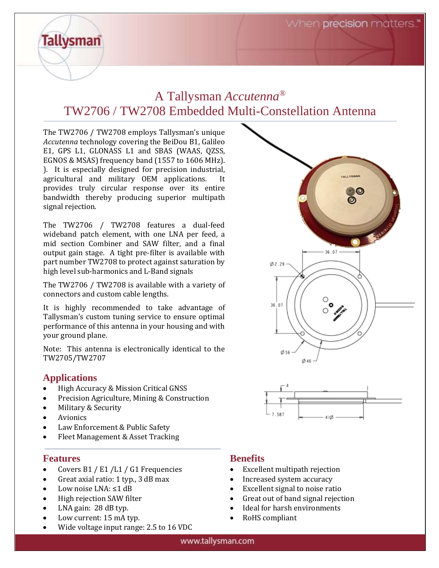# A Tallysman *Accutenna®* TW2706 / TW2708 Embedded Multi-Constellation Antenna

The TW2706 / TW2708 employs Tallysman's unique *Accutenna* technology covering the BeiDou B1, Galileo E1, GPS L1, GLONASS L1 and SBAS (WAAS, QZSS, EGNOS & MSAS) frequency band (1557 to 1606 MHz). ). It is especially designed for precision industrial, agricultural and military OEM applications. It provides truly circular response over its entire bandwidth thereby producing superior multipath signal rejection.

The TW2706 / TW2708 features a dual-feed wideband patch element, with one LNA per feed, a mid section Combiner and SAW filter, and a final output gain stage. A tight pre-filter is available with part number TW2708 to protect against saturation by high level sub-harmonics and L-Band signals

The TW2706 / TW2708 is available with a variety of connectors and custom cable lengths.

It is highly recommended to take advantage of Tallysman's custom tuning service to ensure optimal performance of this antenna in your housing and with your ground plane.

Note: This antenna is electronically identical to the TW2705/TW2707

## **Applications**

**Tallysman** 

- High Accuracy & Mission Critical GNSS
- Precision Agriculture, Mining & Construction
- Military & Security
- Avionics
- Law Enforcement & Public Safety
- Fleet Management & Asset Tracking

## **Features**

- Covers B1 / E1 / L1 / G1 Frequencies
- Great axial ratio: 1 typ., 3 dB max
- Low noise LNA: ≤1 dB
- High rejection SAW filter
- LNA gain: 28 dB typ.
- Low current: 15 mA typ.
- Wide voltage input range: 2.5 to 16 VDC





## **Benefits**

- Excellent multipath rejection
- Increased system accuracy
- Excellent signal to noise ratio
- Great out of band signal rejection
- Ideal for harsh environments
- RoHS compliant